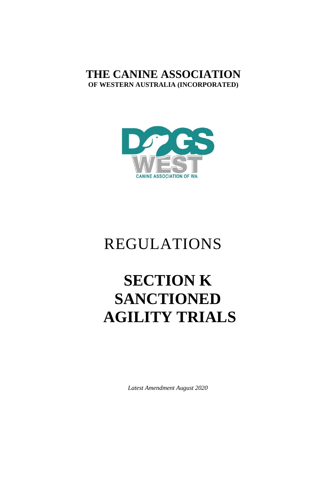# **THE CANINE ASSOCIATION OF WESTERN AUSTRALIA (INCORPORATED)**



# REGULATIONS

# **SECTION K SANCTIONED AGILITY TRIALS**

*Latest Amendment August 2020*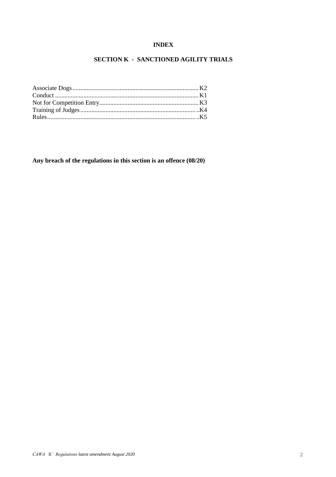# **INDEX**

# **SECTION K - SANCTIONED AGILITY TRIALS**

**Any breach of the regulations in this section is an offence (08/20)**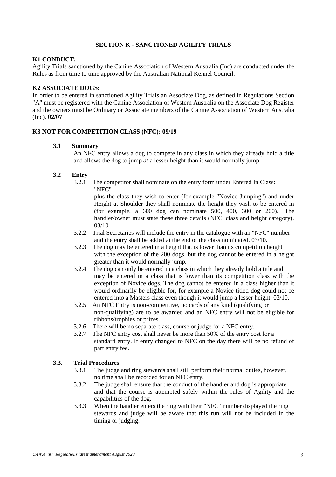#### **SECTION K - SANCTIONED AGILITY TRIALS**

#### **K1 CONDUCT:**

Agility Trials sanctioned by the Canine Association of Western Australia (Inc) are conducted under the Rules as from time to time approved by the Australian National Kennel Council.

#### **K2 ASSOCIATE DOGS:**

In order to be entered in sanctioned Agility Trials an Associate Dog, as defined in Regulations Section "A" must be registered with the Canine Association of Western Australia on the Associate Dog Register and the owners must be Ordinary or Associate members of the Canine Association of Western Australia (Inc). **02/07**

#### **K3 NOT FOR COMPETITION CLASS (NFC): 09/19**

#### **3.1 Summary**

An NFC entry allows a dog to compete in any class in which they already hold a title and allows the dog to jump *at* a lesser height than it would normally jump.

#### **3.2 Entry**

3.2.1 The competitor shall nominate on the entry form under Entered In Class: "NFC"

> plus the class they wish to enter (for example "Novice Jumping") and under Height at Shoulder they shall nominate the height they wish to be entered in (for example, a 600 dog can nominate 500, 400, 300 or 200). The handler/owner must state these three details (NFC, class and height category). 03/10

- 3.2.2 Trial Secretaries will include the entry in the catalogue with an "NFC" number and the entry shall be added at the end of the class nominated. 03/10.
- 3.2.3 The dog may be entered in a height that is lower than its competition height with the exception of the 200 dogs, but the dog cannot be entered in a height greater than it would normally jump.
- 3.2.4 The dog can only be entered in a class in which they already hold a title and may be entered in a class that is lower than its competition class with the exception of Novice dogs*.* The dog cannot be entered in a class higher than it would ordinarily be eligible for, for example a Novice titled dog could not be entered into a Masters class even though it would jump a lesser height. 03/10.
- 3.2.5 An NFC Entry is non-competitive, no cards of any kind (qualifying or non-qualifying) are to be awarded and an NFC entry will not be eligible for ribbons/trophies or prizes.
- 3.2.6 There will be no separate class, course or judge for a NFC entry.
- 3.2.7 The NFC entry cost shall never be more than 50% of the entry cost for a standard entry. If entry changed to NFC on the day there will be no refund of part entry fee.

# **3.3. Trial Procedures**

- 3.3.1 The judge and ring stewards shall still perform their normal duties, however, no time shall be recorded for an NFC entry.
- 3.3.2 The judge shall ensure that the conduct of the handler and dog is appropriate and that the course is attempted safely within the rules of Agility and the capabilities of the dog.
- 3.3.3 When the handler enters the ring with their "NFC" number displayed the ring stewards and judge will be aware that this run will not be included in the timing or judging.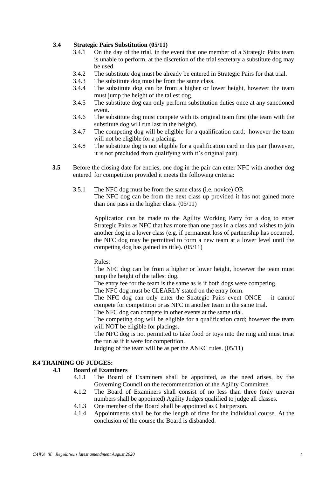#### **3.4 Strategic Pairs Substitution (05/11)**

- 3.4.1 On the day of the trial, in the event that one member of a Strategic Pairs team is unable to perform, at the discretion of the trial secretary a substitute dog may be used.
- 3.4.2 The substitute dog must be already be entered in Strategic Pairs for that trial.
- 3.4.3 The substitute dog must be from the same class.
- 3.4.4 The substitute dog can be from a higher or lower height, however the team must jump the height of the tallest dog.
- 3.4.5 The substitute dog can only perform substitution duties once at any sanctioned event.
- 3.4.6 The substitute dog must compete with its original team first (the team with the substitute dog will run last in the height).
- 3.4.7 The competing dog will be eligible for a qualification card; however the team will not be eligible for a placing.
- 3.4.8 The substitute dog is not eligible for a qualification card in this pair (however, it is not precluded from qualifying with it's original pair).
- **3.5** Before the closing date for entries, one dog in the pair can enter NFC with another dog entered for competition provided it meets the following criteria:
	- 3.5.1 The NFC dog must be from the same class (i.e. novice) OR The NFC dog can be from the next class up provided it has not gained more than one pass in the higher class. (05/11)

Application can be made to the Agility Working Party for a dog to enter Strategic Pairs as NFC that has more than one pass in a class and wishes to join another dog in a lower class (e.g. if permanent loss of partnership has occurred, the NFC dog may be permitted to form a new team at a lower level until the competing dog has gained its title). (05/11)

Rules:

The NFC dog can be from a higher or lower height, however the team must jump the height of the tallest dog.

The entry fee for the team is the same as is if both dogs were competing.

The NFC dog must be CLEARLY stated on the entry form.

The NFC dog can only enter the Strategic Pairs event ONCE – it cannot compete for competition or as NFC in another team in the same trial.

The NFC dog can compete in other events at the same trial.

The competing dog will be eligible for a qualification card; however the team will NOT be eligible for placings.

The NFC dog is not permitted to take food or toys into the ring and must treat the run as if it were for competition.

Judging of the team will be as per the ANKC rules. (05/11)

#### **K4 TRAINING OF JUDGES:**

#### **4.1 Board of Examiners**

- 4.1.1 The Board of Examiners shall be appointed, as the need arises, by the Governing Council on the recommendation of the Agility Committee.
- 4.1.2 The Board of Examiners shall consist of no less than three (only uneven numbers shall be appointed) Agility Judges qualified to judge all classes.
- 4.1.3 One member of the Board shall be appointed as Chairperson.
- 4.1.4 Appointments shall be for the length of time for the individual course. At the conclusion of the course the Board is disbanded.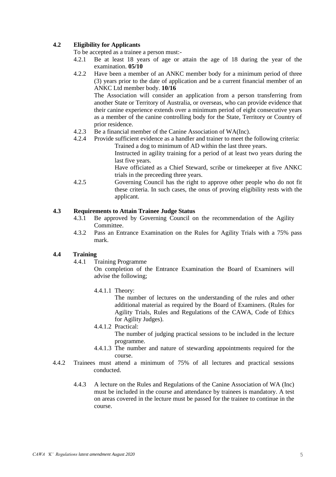#### **4.2 Eligibility for Applicants**

To be accepted as a trainee a person must:-

- 4.2.1 Be at least 18 years of age or attain the age of 18 during the year of the examination. **05/10**
- 4.2.2 Have been a member of an ANKC member body for a minimum period of three (3) years prior to the date of application and be a current financial member of an ANKC Ltd member body. **10/16**

The Association will consider an application from a person transferring from another State or Territory of Australia, or overseas, who can provide evidence that their canine experience extends over a minimum period of eight consecutive years as a member of the canine controlling body for the State, Territory or Country of prior residence.

- 4.2.3 Be a financial member of the Canine Association of WA(Inc).
- 4.2.4 Provide sufficient evidence as a handler and trainer to meet the following criteria: Trained a dog to minimum of AD within the last three years.

Instructed in agility training for a period of at least two years during the last five years.

Have officiated as a Chief Steward, scribe or timekeeper at five ANKC trials in the preceeding three years.

4.2.5 Governing Council has the right to approve other people who do not fit these criteria. In such cases, the onus of proving eligibility rests with the applicant.

#### **4.3 Requirements to Attain Trainee Judge Status**

- 4.3.1 Be approved by Governing Council on the recommendation of the Agility Committee.
- 4.3.2 Pass an Entrance Examination on the Rules for Agility Trials with a 75% pass mark.

#### **4.4 Training**

4.4.1 Training Programme

On completion of the Entrance Examination the Board of Examiners will advise the following;

4.4.1.1 Theory:

The number of lectures on the understanding of the rules and other additional material as required by the Board of Examiners. (Rules for Agility Trials, Rules and Regulations of the CAWA, Code of Ethics for Agility Judges).

- 4.4.1.2 Practical:
	- The number of judging practical sessions to be included in the lecture programme.
- 4.4.1.3 The number and nature of stewarding appointments required for the course.
- 4.4.2 Trainees must attend a minimum of 75% of all lectures and practical sessions conducted.
	- 4.4.3 A lecture on the Rules and Regulations of the Canine Association of WA (Inc) must be included in the course and attendance by trainees is mandatory. A test on areas covered in the lecture must be passed for the trainee to continue in the course.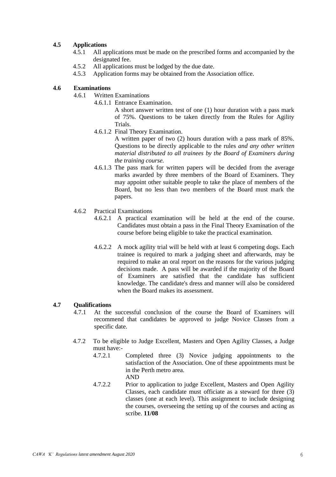# **4.5 Applications**

- 4.5.1 All applications must be made on the prescribed forms and accompanied by the designated fee.
- 4.5.2 All applications must be lodged by the due date.
- 4.5.3 Application forms may be obtained from the Association office.

# **4.6 Examinations**

- 4.6.1 Written Examinations
	- 4.6.1.1 Entrance Examination.

A short answer written test of one (1) hour duration with a pass mark of 75%. Questions to be taken directly from the Rules for Agility Trials.

4.6.1.2 Final Theory Examination.

A written paper of two (2) hours duration with a pass mark of 85%. Questions to be directly applicable to the rules *and any other written material distributed to all trainees by the Board of Examiners during the training course.*

- 4.6.1.3 The pass mark for written papers will be decided from the average marks awarded by three members of the Board of Examiners. They may appoint other suitable people to take the place of members of the Board, but no less than two members of the Board must mark the papers.
- 4.6.2 Practical Examinations
	- 4.6.2.1 A practical examination will be held at the end of the course. Candidates must obtain a pass in the Final Theory Examination of the course before being eligible to take the practical examination.
	- 4.6.2.2 A mock agility trial will be held with at least 6 competing dogs. Each trainee is required to mark a judging sheet and afterwards, may be required to make an oral report on the reasons for the various judging decisions made. A pass will be awarded if the majority of the Board of Examiners are satisfied that the candidate has sufficient knowledge. The candidate's dress and manner will also be considered when the Board makes its assessment.

# **4.7 Qualifications**

- 4.7.1 At the successful conclusion of the course the Board of Examiners will recommend that candidates be approved to judge Novice Classes from a specific date.
- 4.7.2 To be eligible to Judge Excellent, Masters and Open Agility Classes, a Judge must have:-
	- 4.7.2.1 Completed three (3) Novice judging appointments to the satisfaction of the Association. One of these appointments must be in the Perth metro area. AND
	- 4.7.2.2 Prior to application to judge Excellent, Masters and Open Agility Classes, each candidate must officiate as a steward for three (3) classes (one at each level). This assignment to include designing the courses, overseeing the setting up of the courses and acting as scribe. **11/08**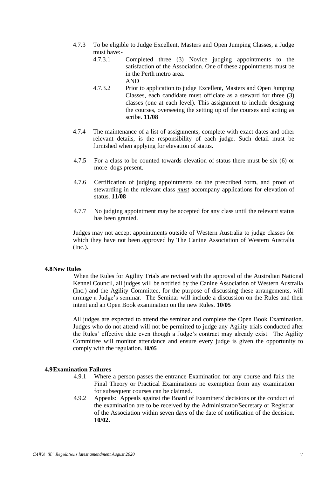- 4.7.3 To be eligible to Judge Excellent, Masters and Open Jumping Classes, a Judge must have:- $4731$ 
	- Completed three (3) Novice judging appointments to the satisfaction of the Association. One of these appointments must be in the Perth metro area.

AND

- 4.7.3.2 Prior to application to judge Excellent, Masters and Open Jumping Classes, each candidate must officiate as a steward for three (3) classes (one at each level). This assignment to include designing the courses, overseeing the setting up of the courses and acting as scribe. **11/08**
- 4.7.4 The maintenance of a list of assignments, complete with exact dates and other relevant details, is the responsibility of each judge. Such detail must be furnished when applying for elevation of status.
- 4.7.5 For a class to be counted towards elevation of status there must be six (6) or more dogs present.
- 4.7.6 Certification of judging appointments on the prescribed form, and proof of stewarding in the relevant class *must* accompany applications for elevation of status. **11/08**
- 4.7.7 No judging appointment may be accepted for any class until the relevant status has been granted.

Judges may not accept appointments outside of Western Australia to judge classes for which they have not been approved by The Canine Association of Western Australia (Inc.).

#### **4.8New Rules**

When the Rules for Agility Trials are revised with the approval of the Australian National Kennel Council, all judges will be notified by the Canine Association of Western Australia (Inc.) and the Agility Committee, for the purpose of discussing these arrangements, will arrange a Judge's seminar. The Seminar will include a discussion on the Rules and their intent and an Open Book examination on the new Rules. **10/05**

All judges are expected to attend the seminar and complete the Open Book Examination. Judges who do not attend will not be permitted to judge any Agility trials conducted after the Rules' effective date even though a Judge's contract may already exist. The Agility Committee will monitor attendance and ensure every judge is given the opportunity to comply with the regulation. **10/05**

#### **4.9Examination Failures**

- 4.9.1 Where a person passes the entrance Examination for any course and fails the Final Theory or Practical Examinations no exemption from any examination for subsequent courses can be claimed.
- 4.9.2 Appeals: Appeals against the Board of Examiners' decisions or the conduct of the examination are to be received by the Administrator/Secretary or Registrar of the Association within seven days of the date of notification of the decision. **10/02.**